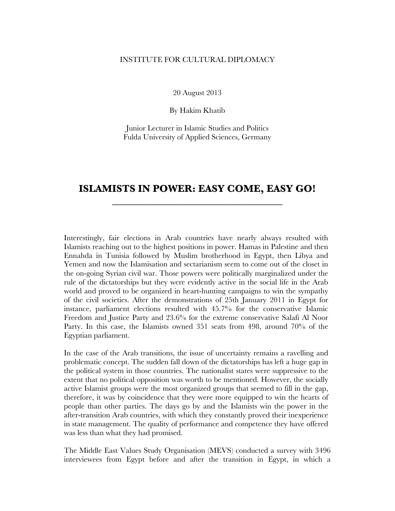## INSTITUTE FOR CULTURAL DIPLOMACY

20 August 2013

By Hakim Khatib

Junior Lecturer in Islamic Studies and Politics Fulda University of Applied Sciences, Germany

## **ISLAMISTS IN POWER: EASY COME, EASY GO! \_\_\_\_\_\_\_\_\_\_\_\_\_\_\_\_\_\_\_\_\_\_\_\_\_\_\_\_\_\_\_\_\_**

Interestingly, fair elections in Arab countries have nearly always resulted with Islamists reaching out to the highest positions in power. Hamas in Palestine and then Ennahda in Tunisia followed by Muslim brotherhood in Egypt, then Libya and Yemen and now the Islamisation and sectarianism seem to come out of the closet in the on-going Syrian civil war. Those powers were politically marginalized under the rule of the dictatorships but they were evidently active in the social life in the Arab world and proved to be organized in heart-hunting campaigns to win the sympathy of the civil societies. After the demonstrations of 25th January 2011 in Egypt for instance, parliament elections resulted with 45.7% for the conservative Islamic Freedom and Justice Party and 23.6% for the extreme conservative Salafi Al Noor Party. In this case, the Islamists owned 351 seats from 498, around 70% of the Egyptian parliament.

In the case of the Arab transitions, the issue of uncertainty remains a ravelling and problematic concept. The sudden fall down of the dictatorships has left a huge gap in the political system in those countries. The nationalist states were suppressive to the extent that no political opposition was worth to be mentioned. However, the socially active Islamist groups were the most organized groups that seemed to fill in the gap, therefore, it was by coincidence that they were more equipped to win the hearts of people than other parties. The days go by and the Islamists win the power in the after-transition Arab countries, with which they constantly proved their inexperience in state management. The quality of performance and competence they have offered was less than what they had promised.

The Middle East Values Study Organisation (MEVS) conducted a survey with 3496 interviewees from Egypt before and after the transition in Egypt, in which a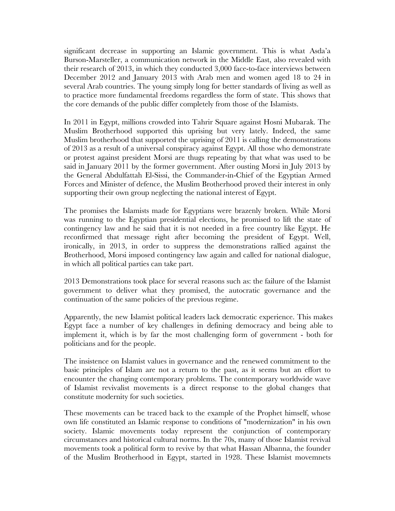significant decrease in supporting an Islamic government. This is what Asda'a Burson-Marsteller, a communication network in the Middle East, also revealed with their research of 2013, in which they conducted 3,000 face-to-face interviews between December 2012 and January 2013 with Arab men and women aged 18 to 24 in several Arab countries. The young simply long for better standards of living as well as to practice more fundamental freedoms regardless the form of state. This shows that the core demands of the public differ completely from those of the Islamists.

In 2011 in Egypt, millions crowded into Tahrir Square against Hosni Mubarak. The Muslim Brotherhood supported this uprising but very lately. Indeed, the same Muslim brotherhood that supported the uprising of 2011 is calling the demonstrations of 2013 as a result of a universal conspiracy against Egypt. All those who demonstrate or protest against president Morsi are thugs repeating by that what was used to be said in January 2011 by the former government. After ousting Morsi in July 2013 by the General Abdulfattah El-Sissi, the Commander-in-Chief of the Egyptian Armed Forces and Minister of defence, the Muslim Brotherhood proved their interest in only supporting their own group neglecting the national interest of Egypt.

The promises the Islamists made for Egyptians were brazenly broken. While Morsi was running to the Egyptian presidential elections, he promised to lift the state of contingency law and he said that it is not needed in a free country like Egypt. He reconfirmed that message right after becoming the president of Egypt. Well, ironically, in 2013, in order to suppress the demonstrations rallied against the Brotherhood, Morsi imposed contingency law again and called for national dialogue, in which all political parties can take part.

2013 Demonstrations took place for several reasons such as: the failure of the Islamist government to deliver what they promised, the autocratic governance and the continuation of the same policies of the previous regime.

Apparently, the new Islamist political leaders lack democratic experience. This makes Egypt face a number of key challenges in defining democracy and being able to implement it, which is by far the most challenging form of government - both for politicians and for the people.

The insistence on Islamist values in governance and the renewed commitment to the basic principles of Islam are not a return to the past, as it seems but an effort to encounter the changing contemporary problems. The contemporary worldwide wave of Islamist revivalist movements is a direct response to the global changes that constitute modernity for such societies.

These movements can be traced back to the example of the Prophet himself, whose own life constituted an Islamic response to conditions of "modernization" in his own society. Islamic movements today represent the conjunction of contemporary circumstances and historical cultural norms. In the 70s, many of those Islamist revival movements took a political form to revive by that what Hassan Albanna, the founder of the Muslim Brotherhood in Egypt, started in 1928. These Islamist movemnets